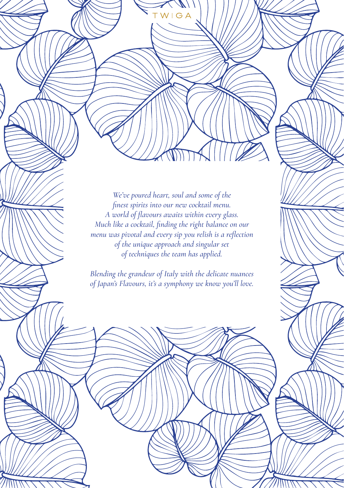*We've poured heart, soul and some of the finest spirits into our new cocktail menu. A world of flavours awaits within every glass. Much like a cocktail, finding the right balance on our menu was pivotal and every sip you relish is a reflection of the unique approach and singular set of techniques the team has applied.*

WIGA

*Blending the grandeur of Italy with the delicate nuances of Japan's Flavours, it's a symphony we know you'll love.*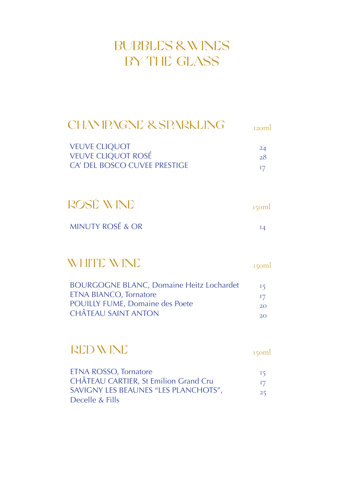# BUBBLES & WINES BY THE GLASS

# CHAMPAGNE & SPARKLING strangl

| <b>VEUVE CLIQUOT</b>         | 24 |
|------------------------------|----|
| <b>VEUVE CLIQUOT ROSÉ</b>    | 28 |
| CA' DEL BOSCO CUVEE PRESTIGE |    |

| ROSÉ WINE                   | 150ml |
|-----------------------------|-------|
| <b>MINUTY ROSÉ &amp; OR</b> | IΔ    |

# WHITE WINE

150ml

| <b>BOURGOGNE BLANC, Domaine Heitz Lochardet</b> | 15            |
|-------------------------------------------------|---------------|
| ETNA BIANCO, Tornatore                          | <sup>17</sup> |
| <b>POUILLY FUME, Domaine des Poete</b>          | 20            |
| <b>CHÂTEAU SAINT ANTON</b>                      | 20            |

# RED WINE

150ml

| ETNA ROSSO, Tornatore                 | 15               |
|---------------------------------------|------------------|
| CHÂTEAU CARTIER, St Emilion Grand Cru | 17 <sub>17</sub> |
| SAVIGNY LES BEAUNES "LES PLANCHOTS",  | 25               |
| Decelle & Fills                       |                  |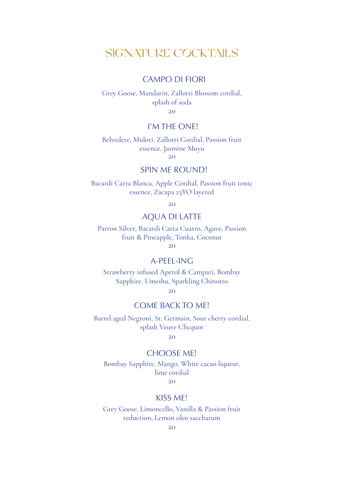### SIGNATURE COCKTAILS

### CAMPO DI FIORI

Grey Goose, Mandarin, Zallotti Blossom cordial, splash of soda

20

### I'M THE ONE!

Belvedere, Midori, Zallotti Cordial, Passion fruit essence, Jasmine Muyu 20

#### SPIN ME ROUND!

Bacardi Carta Blanca, Apple Cordial, Passion fruit tonic essence, Zacapa 23YO layered

 $20$ 

### AQUA DI LATTE

Patron Silver, Bacardi Carta Cuatro, Agave, Passion fruit & Pineapple, Tonka, Coconut 20

A-PEEL-ING

Strawberry infused Aperol & Campari, Bombay Sapphire, Umeshu, Sparkling Chinotto

20

### COME BACK TO ME!

Barrel aged Negroni, St. Germain, Sour cherry cordial, splash Veuve Clicquot

 $20<sup>2</sup>$ 

#### CHOOSE ME!

Bombay Sapphire, Mango, White cacao liqueur, lime cordial

 $20$ 

### KISS ME!

Grey Goose, Limoncello, Vanilla & Passion fruit reduction, Lemon oleo saccharum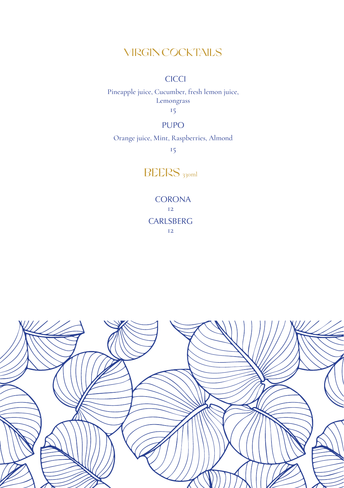### VIRGIN COCKTAILS

### **CICCI**

Pineapple juice, Cucumber, fresh lemon juice, Lemongrass

15

### PUPO

### Orange juice, Mint, Raspberries, Almond

15

### BEERS 330ml

**CORONA** 12 **CARLSBERG** 12

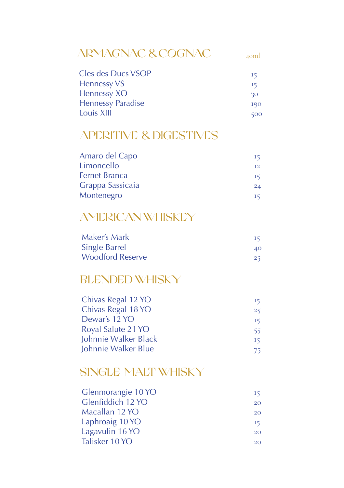#### ARMAGNAC & COGNAC 40ml

| Cles des Ducs VSOP       | -15       |
|--------------------------|-----------|
| <b>Hennessy VS</b>       | <b>I5</b> |
| Hennessy XO              | 30        |
| <b>Hennessy Paradise</b> | 190       |
| Louis XIII               | 500       |

## APERITIVE & DIGESTIVES

| Amaro del Capo       | 15 |
|----------------------|----|
| Limoncello           | T2 |
| <b>Fernet Branca</b> | 15 |
| Grappa Sassicaia     | 24 |
| Montenegro           | 15 |

# AMERICAN WHISKEY

| Maker's Mark            | -15 |
|-------------------------|-----|
| <b>Single Barrel</b>    | 40. |
| <b>Woodford Reserve</b> | 25  |

# BLENDED WHISKY

| Chivas Regal 12 YO   | -15 |
|----------------------|-----|
| Chivas Regal 18 YO   | 25  |
| Dewar's 12 YO        | 15  |
| Royal Salute 21 YO   | 55  |
| Johnnie Walker Black | 15  |
| Johnnie Walker Blue  | 75  |

### SINGLE MALT WHISKY

| 15        |
|-----------|
| <b>20</b> |
| <b>20</b> |
| 15        |
| <b>20</b> |
| 20        |
|           |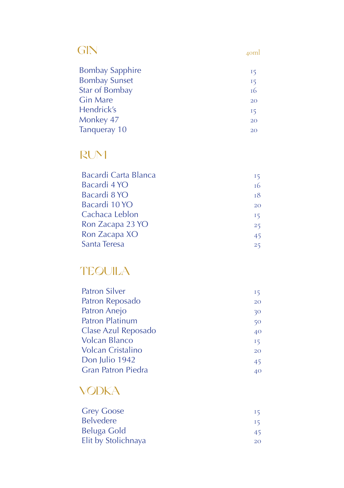| GIN                    | $A$ oml |
|------------------------|---------|
| <b>Bombay Sapphire</b> | 15      |
| <b>Bombay Sunset</b>   | 15      |
| Star of Bombay         | т6      |
| <b>Gin Mare</b>        | 20      |
| Hendrick's             | 15      |
| Monkey 47              | 20      |
| Tanqueray 10           | 20      |
|                        |         |

# RUM

| Bacardi Carta Blanca | 15 |
|----------------------|----|
| Bacardi 4 YO         | т6 |
| Bacardi 8 YO         | 18 |
| Bacardi 10 YO        | 20 |
| Cachaca Leblon       | 15 |
| Ron Zacapa 23 YO     | 25 |
| Ron Zacapa XO        | 45 |
| Santa Teresa         | 25 |

# **TEQUILA**

| <b>Patron Silver</b>      | 15 |
|---------------------------|----|
| Patron Reposado           | 20 |
| Patron Anejo              | 30 |
| <b>Patron Platinum</b>    | 50 |
| Clase Azul Reposado       | 40 |
| <b>Volcan Blanco</b>      | 15 |
| Volcan Cristalino         | 20 |
| Don Julio 1942            | 45 |
| <b>Gran Patron Piedra</b> | 40 |
|                           |    |

# **VODKA**

| <b>Grey Goose</b>   | 15            |
|---------------------|---------------|
| <b>Belvedere</b>    | <sup>15</sup> |
| Beluga Gold         | 45.           |
| Elit by Stolichnaya | 20            |